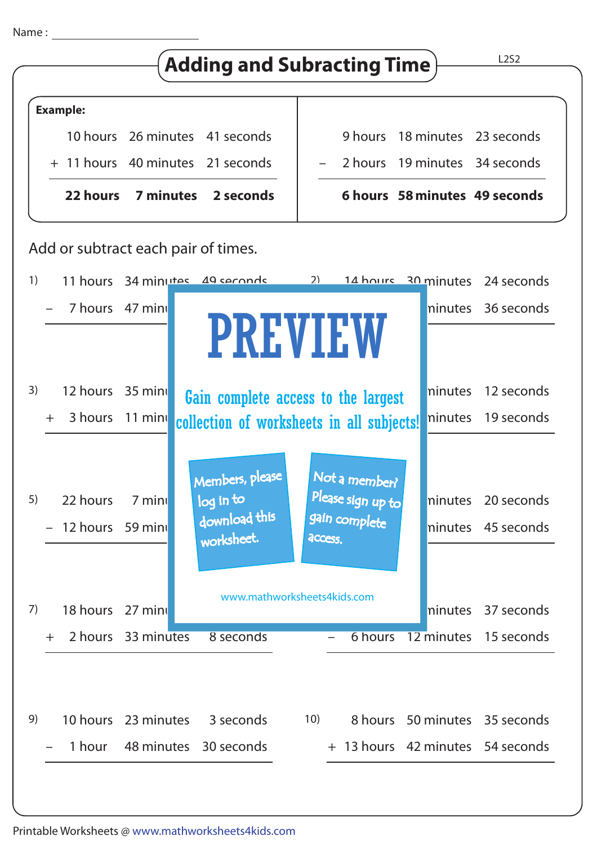